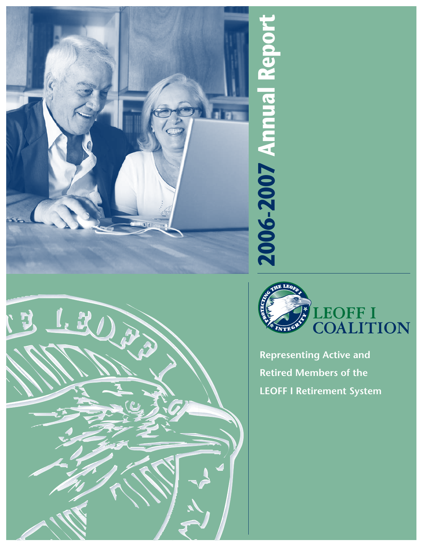





**Representing Active and Retired Members of the**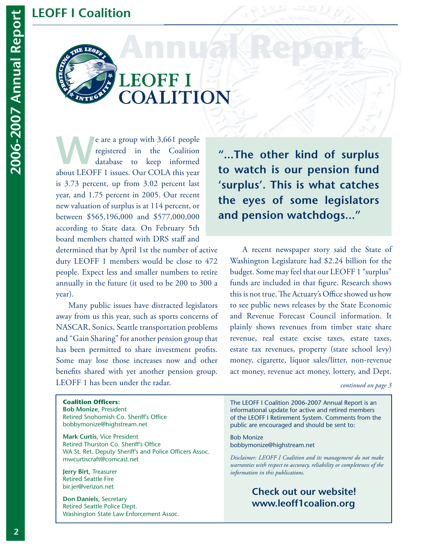### **LEOFF I Coalition**



# **LEOFF I** COALITION

expected in the Coalition<br>database to keep informed registered in the Coalition database to keep informed about LEOFF 1 issues. Our COLA this year is 3.73 percent, up from 3.02 percent last year, and 1.75 percent in 2005. Our recent new valuation of surplus is at 114 percent, or between \$565,196,000 and \$577,000,000 according to State data. On February 5th board members chatted with DRS staff and

determined that by April 1st the number of active duty LEOFF 1 members would be close to 472 people. Expect less and smaller numbers to retire annually in the future (it used to be 200 to 300 a year).

 Many public issues have distracted legislators away from us this year, such as sports concerns of NASCAR, Sonics, Seattle transportation problems and "Gain Sharing" for another pension group that has been permitted to share investment profits. Some may lose those increases now and other benefits shared with yet another pension group. LEOFF 1 has been under the radar.

**"...The other kind of surplus to watch is our pension fund 'surplus'. This is what catches the eyes of some legislators and pension watchdogs..."**

 A recent newspaper story said the State of Washington Legislature had \$2.24 billion for the budget. Some may feel that our LEOFF 1 "surplus" funds are included in that figure. Research shows this is not true. The Actuary's Office showed us how to see public news releases by the State Economic and Revenue Forecast Council information. It plainly shows revenues from timber state share revenue, real estate excise taxes, estate taxes, estate tax revenues, property (state school levy) money, cigarette, liquor sales/litter, non-revenue act money, revenue act money, lottery, and Dept.

*continued on page 3*

#### **Coalition Officers:**

**Bob Monize**, President Retired Snohomish Co. Sheriff's Office bobbymonize@highstream.net

**Mark Curtis**, Vice President Retired Thurston Co. Sheriff's Office WA St. Ret. Deputy Sheriff's and Police Officers Assoc. mwcurtiscraft@comcast.net

**Jerry Birt**, Treasurer Retired Seattle Fire bir.jer@verizon.net

**Don Daniels**, Secretary Retired Seattle Police Dept. Washington State Law Enforcement Assoc.

The LEOFF I Coalition 2006-2007 Annual Report is an informational update for active and retired members of the LEOFF I Retirement System. Comments from the public are encouraged and should be sent to:

Bob Monize bobbymonize@highstream.net

*Disclaimer: LEOFF I Coalition and its management do not make warranties with respect to accuracy, reliability or completeness of the information in this publications.*

### **Check out our website! www.leoff1coalion.org**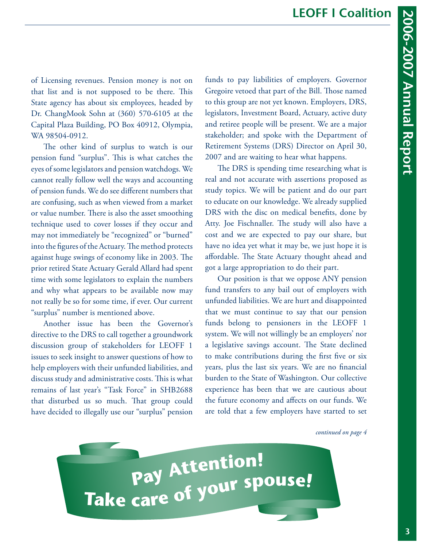of Licensing revenues. Pension money is not on that list and is not supposed to be there. This State agency has about six employees, headed by Dr. ChangMook Sohn at (360) 570-6105 at the Capital Plaza Building, PO Box 40912, Olympia, WA 98504-0912.

The other kind of surplus to watch is our pension fund "surplus". This is what catches the eyes of some legislators and pension watchdogs. We cannot really follow well the ways and accounting of pension funds. We do see different numbers that are confusing, such as when viewed from a market or value number. There is also the asset smoothing technique used to cover losses if they occur and may not immediately be "recognized" or "burned" into the figures of the Actuary. The method protects against huge swings of economy like in 2003. The prior retired State Actuary Gerald Allard had spent time with some legislators to explain the numbers and why what appears to be available now may not really be so for some time, if ever. Our current "surplus" number is mentioned above.

Another issue has been the Governor's directive to the DRS to call together a groundwork discussion group of stakeholders for LEOFF 1 issues to seek insight to answer questions of how to help employers with their unfunded liabilities, and discuss study and administrative costs. This is what remains of last year's "Task Force" in SHB2688 that disturbed us so much. That group could have decided to illegally use our "surplus" pension

funds to pay liabilities of employers. Governor Gregoire vetoed that part of the Bill. Those named to this group are not yet known. Employers, DRS, legislators, Investment Board, Actuary, active duty and retiree people will be present. We are a major stakeholder; and spoke with the Department of Retirement Systems (DRS) Director on April 30, 2007 and are waiting to hear what happens.

The DRS is spending time researching what is real and not accurate with assertions proposed as study topics. We will be patient and do our part to educate on our knowledge. We already supplied DRS with the disc on medical benefits, done by Atty. Joe Fischnaller. The study will also have a cost and we are expected to pay our share, but have no idea yet what it may be, we just hope it is affordable. The State Actuary thought ahead and got a large appropriation to do their part.

Our position is that we oppose ANY pension fund transfers to any bail out of employers with unfunded liabilities. We are hurt and disappointed that we must continue to say that our pension funds belong to pensioners in the LEOFF 1 system. We will not willingly be an employers' nor a legislative savings account. The State declined to make contributions during the first five or six years, plus the last six years. We are no financial burden to the State of Washington. Our collective experience has been that we are cautious about the future economy and affects on our funds. We are told that a few employers have started to set

*continued on page 4*

Pay Attention!<br>Take care of your spouse!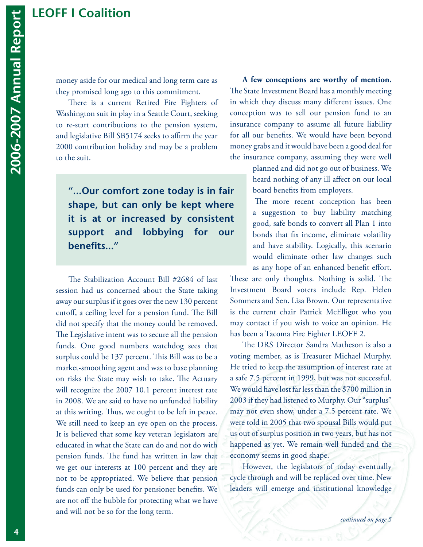# **LEOFF I Coalition**

money aside for our medical and long term care as they promised long ago to this commitment.

There is a current Retired Fire Fighters of Washington suit in play in a Seattle Court, seeking to re-start contributions to the pension system, and legislative Bill SB5174 seeks to affirm the year 2000 contribution holiday and may be a problem to the suit.

**"...Our comfort zone today is in fair shape, but can only be kept where it is at or increased by consistent support and lobbying for our benefits..."** 

The Stabilization Account Bill #2684 of last session had us concerned about the State taking away our surplus if it goes over the new 130 percent cutoff, a ceiling level for a pension fund. The Bill did not specify that the money could be removed. The Legislative intent was to secure all the pension funds. One good numbers watchdog sees that surplus could be 137 percent. This Bill was to be a market-smoothing agent and was to base planning on risks the State may wish to take. The Actuary will recognize the 2007 10.1 percent interest rate in 2008. We are said to have no unfunded liability at this writing. Thus, we ought to be left in peace. We still need to keep an eye open on the process. It is believed that some key veteran legislators are educated in what the State can do and not do with pension funds. The fund has written in law that we get our interests at 100 percent and they are not to be appropriated. We believe that pension funds can only be used for pensioner benefits. We are not off the bubble for protecting what we have and will not be so for the long term.

**A few conceptions are worthy of mention.** The State Investment Board has a monthly meeting in which they discuss many different issues. One conception was to sell our pension fund to an insurance company to assume all future liability for all our benefits. We would have been beyond money grabs and it would have been a good deal for the insurance company, assuming they were well

> planned and did not go out of business. We heard nothing of any ill affect on our local board benefits from employers.

The more recent conception has been a suggestion to buy liability matching good, safe bonds to convert all Plan 1 into bonds that fix income, eliminate volatility and have stability. Logically, this scenario would eliminate other law changes such as any hope of an enhanced benefit effort. These are only thoughts. Nothing is solid. The Investment Board voters include Rep. Helen Sommers and Sen. Lisa Brown. Our representative is the current chair Patrick McElligot who you may contact if you wish to voice an opinion. He has been a Tacoma Fire Fighter LEOFF 2.

The DRS Director Sandra Matheson is also a voting member, as is Treasurer Michael Murphy. He tried to keep the assumption of interest rate at a safe 7.5 percent in 1999, but was not successful. We would have lost far less than the \$700 million in 2003 if they had listened to Murphy. Our "surplus" may not even show, under a 7.5 percent rate. We were told in 2005 that two spousal Bills would put us out of surplus position in two years, but has not happened as yet. We remain well funded and the economy seems in good shape.

 However, the legislators of today eventually cycle through and will be replaced over time. New leaders will emerge and institutional knowledge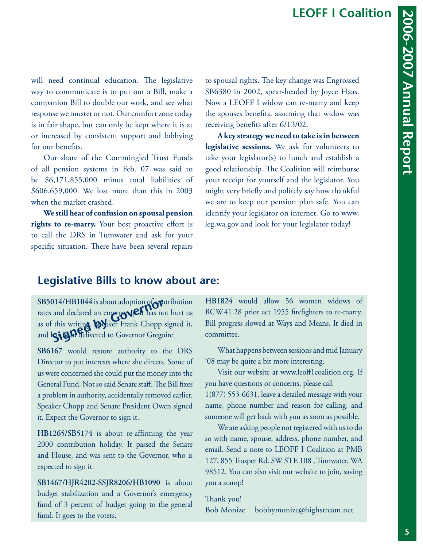will need continual education. The legislative way to communicate is to put out a Bill, make a companion Bill to double our work, and see what response we muster or not. Our comfort zone today is in fair shape, but can only be kept where it is at or increased by consistent support and lobbying for our benefits.

Our share of the Commingled Trust Funds of all pension systems in Feb. 07 was said to be \$6,171,855,000 minus total liabilities of \$606,659,000. We lost more than this in 2003 when the market crashed.

**We still hear of confusion on spousal pension rights to re-marry.** Your best proactive effort is to call the DRS in Tumwater and ask for your specific situation. There have been several repairs

to spousal rights. The key change was Engrossed SB6380 in 2002, spear-headed by Joyce Haas. Now a LEOFF I widow can re-marry and keep the spouses benefits, assuming that widow was receiving benefits after 6/13/02.

**A key strategy we need to take is in between legislative sessions.** We ask for volunteers to take your legislator(s) to lunch and establish a good relationship. The Coalition will reimburse your receipt for yourself and the legislator. You might very briefly and politely say how thankful we are to keep our pension plan safe. You can identify your legislator on internet. Go to www. leg.wa.gov and look for your legislator today!

#### **Legislative Bills to know about are:**

**SB5014/HB1044** is about adoption of contribution rates and declared an emergency. It has not hurt us as of this writin**g. Speaker Frank Chopp signed it,** and los belivered to Governor Gregoire. **Signal Signal Signal Signal Signal Signal Signal Signal Signal Signal Signal Signal Signal Signal Signal Signal Signal Signal Signal Signal Signal Signal Signal Signal Signal Signal Signal Signal Signal Signal Signal Sign** 

**SB6167** would restore authority to the DRS Director to put interests where she directs. Some of us were concerned she could put the money into the General Fund. Not so said Senate staff. The Bill fixes a problem in authority, accidentally removed earlier. Speaker Chopp and Senate President Owen signed it. Expect the Governor to sign it.

**HB1265/SB5174** is about re-affirming the year 2000 contribution holiday. It passed the Senate and House, and was sent to the Governor, who is expected to sign it.

**SB1467/HJR4202-SSJR8206/HB1090** is about budget stabilization and a Governor's emergency fund of 3 percent of budget going to the general fund. It goes to the voters.

**HB1824** would allow 56 women widows of RCW.41.28 prior act 1955 firefighters to re-marry. Bill progress slowed at Ways and Means. It died in committee.

What happens between sessions and mid January '08 may be quite a bit more interesting.

Visit our website at www.leoff1coalition.org. If you have questions or concerns, please call 1(877) 553-6631, leave a detailed message with your name, phone number and reason for calling, and someone will get back with you as soon as possible.

We are asking people not registered with us to do so with name, spouse, address, phone number, and email. Send a note to LEOFF I Coalition at PMB 127, 855 Trosper Rd. SW STE 108 , Tumwater, WA 98512. You can also visit our website to join, saving you a stamp!

Thank you! Bob Monize bobbymonize@highstream.net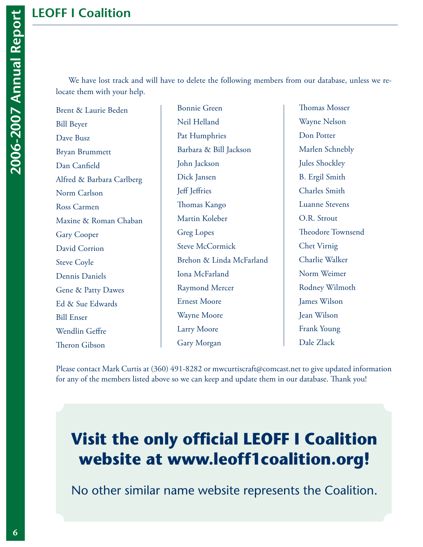We have lost track and will have to delete the following members from our database, unless we relocate them with your help.

Brent & Laurie Beden Bill Beyer Dave Busz Bryan Brummett Dan Canfield Alfred & Barbara Carlberg Norm Carlson Ross Carmen Maxine & Roman Chaban Gary Cooper David Corrion Steve Coyle Dennis Daniels Gene & Patty Dawes Ed & Sue Edwards Bill Enser Wendlin Geffre Theron Gibson

Bonnie Green Neil Helland Pat Humphries Barbara & Bill Jackson John Jackson Dick Jansen Jeff Jeffries Thomas Kango Martin Koleber Greg Lopes Steve McCormick Brehon & Linda McFarland Iona McFarland Raymond Mercer Ernest Moore Wayne Moore Larry Moore Gary Morgan

Thomas Mosser Wayne Nelson Don Potter Marlen Schnebly Jules Shockley B. Ergil Smith Charles Smith Luanne Stevens O.R. Strout Theodore Townsend Chet Virnig Charlie Walker Norm Weimer Rodney Wilmoth James Wilson Jean Wilson Frank Young Dale Zlack

Please contact Mark Curtis at (360) 491-8282 or mwcurtiscraft@comcast.net to give updated information for any of the members listed above so we can keep and update them in our database. Thank you!

# **Visit the only official LEOFF I Coalition website at www.leoff1coalition.org!**

No other similar name website represents the Coalition.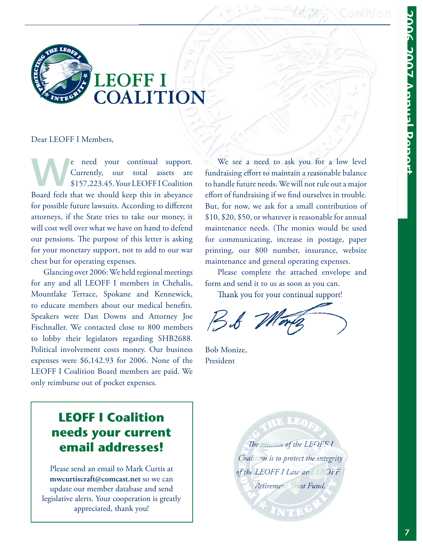### **LEOFF I Coalition**



Dear LEOFF I Members,

Expedition of the need your continual support.<br>
Surrently, our total assets are<br>
S157,223.45. Your LEOFFI Coalition Currently, our total assets are \$157,223.45. Your LEOFF I Coalition Board feels that we should keep this in abeyance for possible future lawsuits. According to different attorneys, if the State tries to take our money, it will cost well over what we have on hand to defend our pensions. The purpose of this letter is asking for your monetary support, not to add to our war chest but for operating expenses.

 Glancing over 2006: We held regional meetings for any and all LEOFF I members in Chehalis, Mountlake Terrace, Spokane and Kennewick, to educate members about our medical benefits. Speakers were Dan Downs and Attorney Joe Fischnaller. We contacted close to 800 members to lobby their legislators regarding SHB2688. Political involvement costs money. Our business expenses were \$6,142.93 for 2006. None of the LEOFF I Coalition Board members are paid. We only reimburse out of pocket expenses.

 We see a need to ask you for a low level fundraising effort to maintain a reasonable balance to handle future needs. We will not rule out a major effort of fundraising if we find ourselves in trouble. But, for now, we ask for a small contribution of \$10, \$20, \$50, or whatever is reasonable for annual maintenance needs. (The monies would be used for communicating, increase in postage, paper printing, our 800 number, insurance, website maintenance and general operating expenses.

 Please complete the attached envelope and form and send it to us as soon as you can.

Thank you for your continual support!

B& M

Bob Monize, President

## **LEOFF I Coalition needs your current email addresses!**

Please send an email to Mark Curtis at **mwcurtiscraft@comcast.net** so we can update our member database and send legislative alerts. Your cooperation is greatly appreciated, thank you!

AB LEA **The mission of the LEOFF I** *Coalition is to protect the integrity of the LEOFF I Law and LEOFF I Retirement Trust Fund.*

NTEG